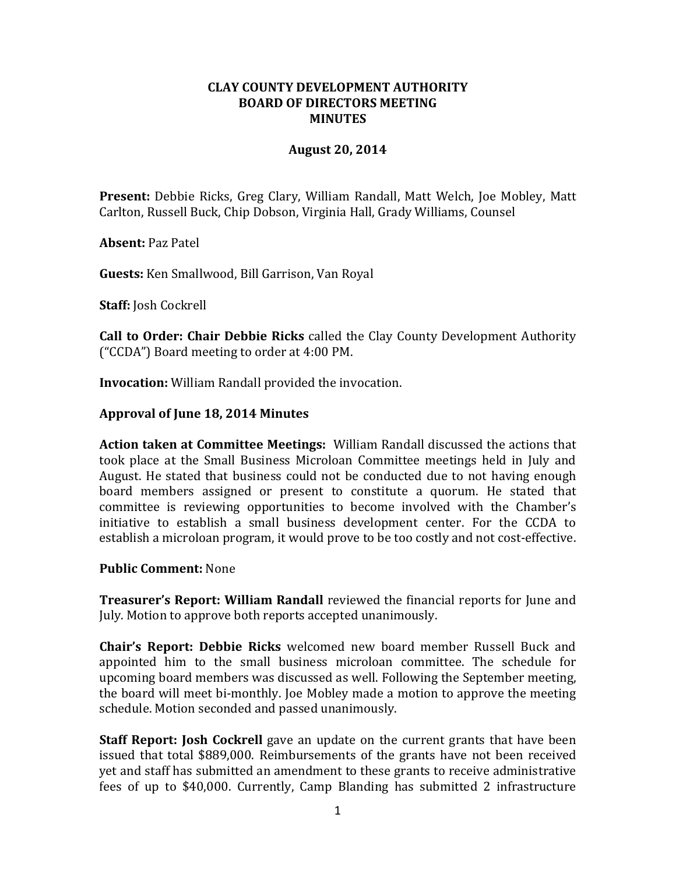### **CLAY COUNTY DEVELOPMENT AUTHORITY BOARD OF DIRECTORS MEETING MINUTES**

### **August 20, 2014**

**Present:** Debbie Ricks, Greg Clary, William Randall, Matt Welch, Joe Mobley, Matt Carlton, Russell Buck, Chip Dobson, Virginia Hall, Grady Williams, Counsel

**Absent:** Paz Patel

**Guests:** Ken Smallwood, Bill Garrison, Van Royal

**Staff:** Josh Cockrell

**Call to Order: Chair Debbie Ricks** called the Clay County Development Authority ("CCDA") Board meeting to order at 4:00 PM.

**Invocation:** William Randall provided the invocation.

### **Approval of June 18, 2014 Minutes**

**Action taken at Committee Meetings:** William Randall discussed the actions that took place at the Small Business Microloan Committee meetings held in July and August. He stated that business could not be conducted due to not having enough board members assigned or present to constitute a quorum. He stated that committee is reviewing opportunities to become involved with the Chamber's initiative to establish a small business development center. For the CCDA to establish a microloan program, it would prove to be too costly and not cost-effective.

#### **Public Comment:** None

**Treasurer's Report: William Randall** reviewed the financial reports for June and July. Motion to approve both reports accepted unanimously.

**Chair's Report: Debbie Ricks** welcomed new board member Russell Buck and appointed him to the small business microloan committee. The schedule for upcoming board members was discussed as well. Following the September meeting, the board will meet bi-monthly. Joe Mobley made a motion to approve the meeting schedule. Motion seconded and passed unanimously.

**Staff Report: Josh Cockrell** gave an update on the current grants that have been issued that total \$889,000. Reimbursements of the grants have not been received yet and staff has submitted an amendment to these grants to receive administrative fees of up to \$40,000. Currently, Camp Blanding has submitted 2 infrastructure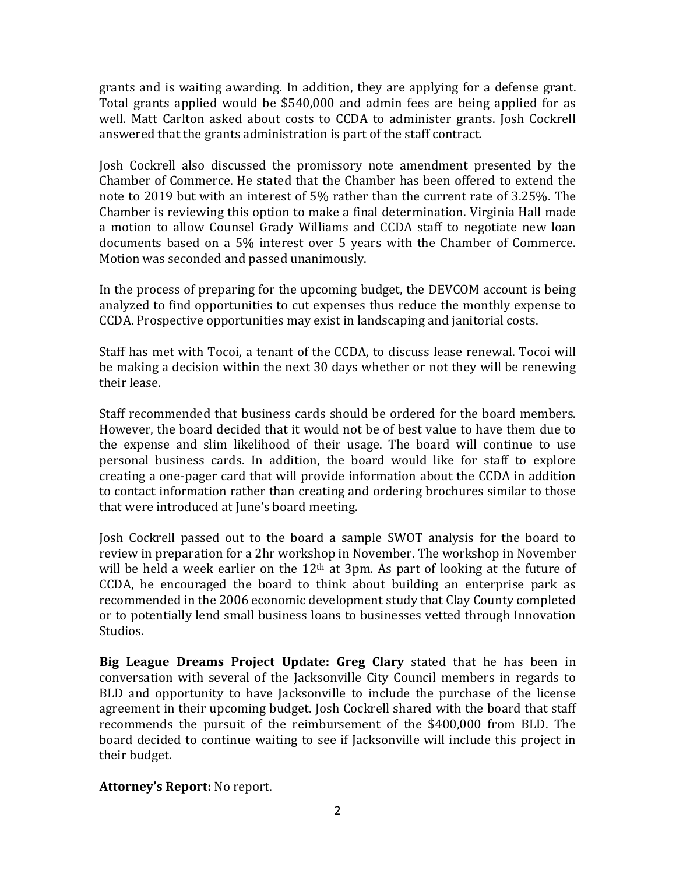grants and is waiting awarding. In addition, they are applying for a defense grant. Total grants applied would be \$540,000 and admin fees are being applied for as well. Matt Carlton asked about costs to CCDA to administer grants. Josh Cockrell answered that the grants administration is part of the staff contract.

Josh Cockrell also discussed the promissory note amendment presented by the Chamber of Commerce. He stated that the Chamber has been offered to extend the note to 2019 but with an interest of 5% rather than the current rate of 3.25%. The Chamber is reviewing this option to make a final determination. Virginia Hall made a motion to allow Counsel Grady Williams and CCDA staff to negotiate new loan documents based on a 5% interest over 5 years with the Chamber of Commerce. Motion was seconded and passed unanimously.

In the process of preparing for the upcoming budget, the DEVCOM account is being analyzed to find opportunities to cut expenses thus reduce the monthly expense to CCDA. Prospective opportunities may exist in landscaping and janitorial costs.

Staff has met with Tocoi, a tenant of the CCDA, to discuss lease renewal. Tocoi will be making a decision within the next 30 days whether or not they will be renewing their lease.

Staff recommended that business cards should be ordered for the board members. However, the board decided that it would not be of best value to have them due to the expense and slim likelihood of their usage. The board will continue to use personal business cards. In addition, the board would like for staff to explore creating a one-pager card that will provide information about the CCDA in addition to contact information rather than creating and ordering brochures similar to those that were introduced at June's board meeting.

Josh Cockrell passed out to the board a sample SWOT analysis for the board to review in preparation for a 2hr workshop in November. The workshop in November will be held a week earlier on the  $12<sup>th</sup>$  at 3pm. As part of looking at the future of CCDA, he encouraged the board to think about building an enterprise park as recommended in the 2006 economic development study that Clay County completed or to potentially lend small business loans to businesses vetted through Innovation Studios.

**Big League Dreams Project Update: Greg Clary** stated that he has been in conversation with several of the Jacksonville City Council members in regards to BLD and opportunity to have Jacksonville to include the purchase of the license agreement in their upcoming budget. Josh Cockrell shared with the board that staff recommends the pursuit of the reimbursement of the \$400,000 from BLD. The board decided to continue waiting to see if Jacksonville will include this project in their budget.

**Attorney's Report:** No report.